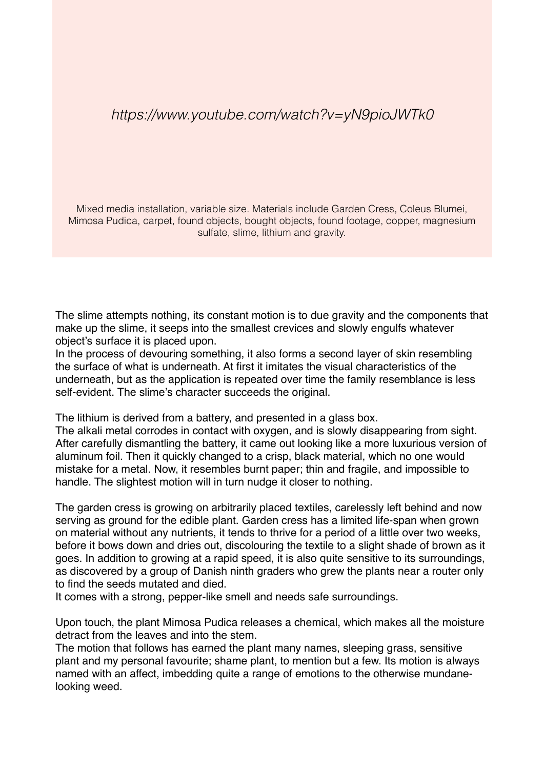## *https://www.youtube.com/watch?v=yN9pioJWTk0*

Mixed media installation, variable size. Materials include Garden Cress, Coleus Blumei, Mimosa Pudica, carpet, found objects, bought objects, found footage, copper, magnesium sulfate, slime, lithium and gravity.

The slime attempts nothing, its constant motion is to due gravity and the components that make up the slime, it seeps into the smallest crevices and slowly engulfs whatever object's surface it is placed upon.

In the process of devouring something, it also forms a second layer of skin resembling the surface of what is underneath. At first it imitates the visual characteristics of the underneath, but as the application is repeated over time the family resemblance is less self-evident. The slime's character succeeds the original.

The lithium is derived from a battery, and presented in a glass box.

The alkali metal corrodes in contact with oxygen, and is slowly disappearing from sight. After carefully dismantling the battery, it came out looking like a more luxurious version of aluminum foil. Then it quickly changed to a crisp, black material, which no one would mistake for a metal. Now, it resembles burnt paper; thin and fragile, and impossible to handle. The slightest motion will in turn nudge it closer to nothing.

The garden cress is growing on arbitrarily placed textiles, carelessly left behind and now serving as ground for the edible plant. Garden cress has a limited life-span when grown on material without any nutrients, it tends to thrive for a period of a little over two weeks, before it bows down and dries out, discolouring the textile to a slight shade of brown as it goes. In addition to growing at a rapid speed, it is also quite sensitive to its surroundings, as discovered by a group of Danish ninth graders who grew the plants near a router only to find the seeds mutated and died.

It comes with a strong, pepper-like smell and needs safe surroundings.

Upon touch, the plant Mimosa Pudica releases a chemical, which makes all the moisture detract from the leaves and into the stem.

The motion that follows has earned the plant many names, sleeping grass, sensitive plant and my personal favourite; shame plant, to mention but a few. Its motion is always named with an affect, imbedding quite a range of emotions to the otherwise mundanelooking weed.